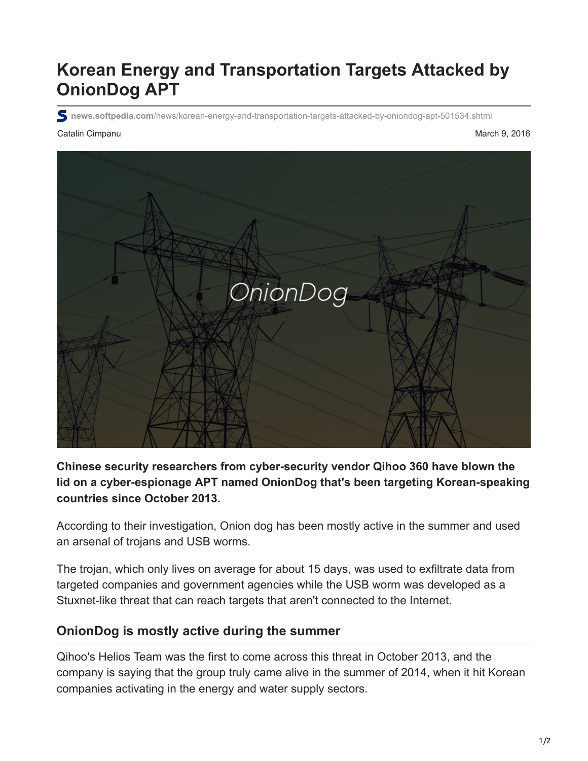# **Korean Energy and Transportation Targets Attacked by OnionDog APT**

**news.softpedia.com**[/news/korean-energy-and-transportation-targets-attacked-by-oniondog-apt-501534.shtml](http://news.softpedia.com/news/korean-energy-and-transportation-targets-attacked-by-oniondog-apt-501534.shtml)

#### Catalin Cimpanu March 9, 2016



### **Chinese security researchers from cyber-security vendor Qihoo 360 have blown the lid on a cyber-espionage APT named OnionDog that's been targeting Korean-speaking countries since October 2013.**

According to their investigation, Onion dog has been mostly active in the summer and used an arsenal of trojans and USB worms.

The trojan, which only lives on average for about 15 days, was used to exfiltrate data from targeted companies and government agencies while the USB worm was developed as a Stuxnet-like threat that can reach targets that aren't connected to the Internet.

## **OnionDog is mostly active during the summer**

Qihoo's Helios Team was the first to come across this threat in October 2013, and the company is saying that the group truly came alive in the summer of 2014, when it hit Korean companies activating in the energy and water supply sectors.